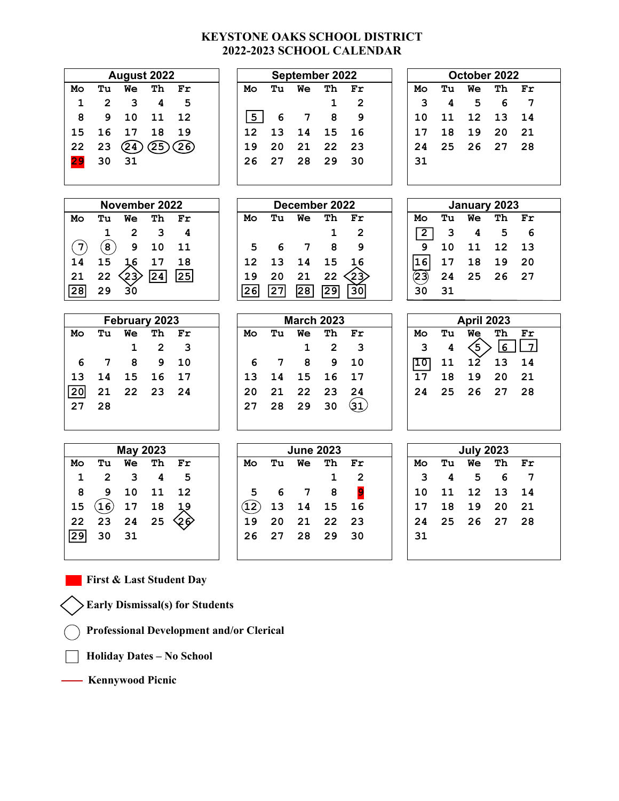## **KEYSTONE OAKS SCHOOL DISTRICT 2022-2023 SCHOOL CALENDAR**

| August 2022      |                         |                                |                         | September 2022           |      |    |                   | October 2022            |                         |                |    |                          |    |                |  |
|------------------|-------------------------|--------------------------------|-------------------------|--------------------------|------|----|-------------------|-------------------------|-------------------------|----------------|----|--------------------------|----|----------------|--|
| Mo               | Tu                      | We                             | Th                      | Fr                       | Mo   | Tu | <b>We</b>         | Th                      | Fr                      | Mo             | Tu | Wе                       | Тh | Fr             |  |
| 1                | $\overline{2}$          | 3                              | 4                       | 5                        |      |    |                   | 1                       | $\overline{2}$          | 3              | 4  | 5                        | 6  | $\overline{7}$ |  |
| 8                | 9                       | 10                             | 11                      | 12                       | 5    | 6  | $\overline{7}$    | 8                       | 9                       | 10             | 11 | 12                       | 13 | 14             |  |
| 15               | 16                      | 17                             | 18                      | 19                       | 12   | 13 | 14                | 15                      | 16                      | 17             | 18 | 19                       | 20 | 21             |  |
| 22               | 23                      | $\bigcirc$                     | 25)                     | 26)                      | 19   | 20 | 21                | 22                      | 23                      | 24             | 25 | 26                       | 27 | 28             |  |
| 29               | 30                      | 31                             |                         |                          | 26   | 27 | 28                | 29                      | 30                      | 31             |    |                          |    |                |  |
|                  |                         |                                |                         |                          |      |    |                   |                         |                         |                |    |                          |    |                |  |
|                  |                         |                                |                         |                          |      |    |                   |                         |                         |                |    |                          |    |                |  |
| November 2022    |                         |                                |                         | December 2022            |      |    |                   | January 2023            |                         |                |    |                          |    |                |  |
| Mo               | Tu                      | We                             | Th                      | $\mathbf{Fr}$            | Mo   | Tu | We                | Th                      | Fr                      | Mo             | Tu | Wе                       | тh | Fr             |  |
|                  | $\mathbf{1}$            | $\overline{2}$                 | 3                       | 4                        |      |    |                   | $\mathbf 1$             | $\overline{2}$          | $\overline{2}$ | 3  | 4                        | 5  | 6              |  |
| $\left(7\right)$ | $\bf{(8)}$              | 9                              | 10                      | 11                       | 5    | 6  | $\overline{7}$    | 8                       | 9                       | 9              | 10 | 11                       | 12 | 13             |  |
| 14               | 15                      | 1,6                            | 17                      | 18                       | 12   | 13 | 14                | 15                      | 16                      | 16             | 17 | 18                       | 19 | 20             |  |
| 21               | 22                      | $\left\langle 23\right\rangle$ | 24                      | $\overline{\mathbf{25}}$ | 19   | 20 | 21                | 22                      | -23                     | 23)            | 24 | 25                       | 26 | 27             |  |
| 28               | 29                      | $\overline{30}$                |                         |                          | 26   | 27 | $\overline{28}$   | 29                      | 30                      | 30             | 31 |                          |    |                |  |
|                  |                         |                                |                         |                          |      |    |                   |                         |                         |                |    |                          |    |                |  |
|                  |                         |                                |                         |                          |      |    |                   |                         |                         |                |    |                          |    |                |  |
|                  |                         | February 2023                  |                         |                          |      |    | <b>March 2023</b> |                         |                         |                |    | <b>April 2023</b>        |    |                |  |
| Mo               | Tu                      | <b>We</b>                      | Th                      | Fr                       | Mo   | Tu | We                | Th                      | Fr                      | Mo             | Tu | We                       | Th | Fr             |  |
|                  |                         | $\mathbf 1$                    | $\overline{2}$          | 3                        |      |    | $\mathbf{1}$      | $\overline{\mathbf{2}}$ | 3                       | 3              | 4  | $\overline{\mathcal{S}}$ | 6  | $\overline{7}$ |  |
| 6                | $\overline{7}$          | 8                              | 9                       | 10                       | 6    | 7  | 8                 | 9                       | 10                      | 10             | 11 | 12                       | 13 | 14             |  |
| 13               | 14                      | 15                             | 16                      | 17                       | 13   | 14 | 15                | 16                      | 17                      | 17             | 18 | 19                       | 20 | 21             |  |
| 20               | 21                      | 22                             | 23                      | 24                       | 20   | 21 | 22                | 23                      | 24                      | 24             | 25 | 26                       | 27 | 28             |  |
| 27               | 28                      |                                |                         |                          | 27   | 28 | 29                | 30                      | ઉ૫ે                     |                |    |                          |    |                |  |
|                  |                         |                                |                         |                          |      |    |                   |                         |                         |                |    |                          |    |                |  |
|                  |                         |                                |                         |                          |      |    |                   |                         |                         |                |    |                          |    |                |  |
|                  |                         | <b>May 2023</b>                |                         |                          |      |    | <b>June 2023</b>  |                         |                         |                |    | <b>July 2023</b>         |    |                |  |
| Mo               | Tu                      | We                             | Th                      | Fr                       | Mo   | Tu | Wе                | Th                      | Fr                      | Mo             | Tu | We                       | Th | Fr             |  |
| 1                | $\overline{\mathbf{2}}$ | 3                              | $\overline{\mathbf{4}}$ | 5                        |      |    |                   | $\mathbf 1$             | $\overline{\mathbf{c}}$ | 3              | 4  | 5                        | 6  | $\overline{7}$ |  |
| 8                | 9                       | 10                             | 11                      | 12                       | 5    | 6  | $\overline{7}$    | 8                       | $\overline{9}$          | 10             | 11 | 12                       | 13 | 14             |  |
| 15               | $\mathfrak{b}($         | 17                             | 18                      | 19                       | (12) | 13 | 14                | 15                      | 16                      | 17             | 18 | 19                       | 20 | 21             |  |
| 22<br>29         | 23                      | 24                             | 25                      | ۇنج                      | 19   | 20 | 21                | 22                      | 23                      | 24             | 25 | 26                       | 27 | 28             |  |

 **First & Last Student Day** 

 **Early Dismissal(s) for Students** 

 **Professional Development and/or Clerical** 

 **Holiday Dates – No School** 

 **Kennywood Picnic**